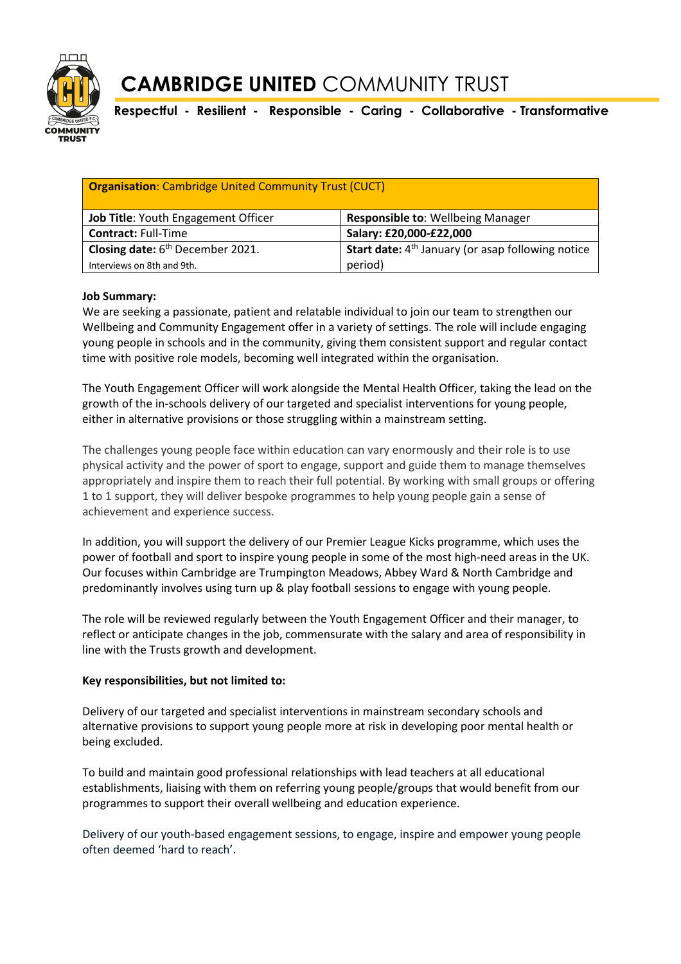

## **CAMBRIDGE UNITED** COMMUNITY TRUST

**Respectful - Resilient - Responsible - Caring - Collaborative - Transformative**

| <b>Organisation:</b> Cambridge United Community Trust (CUCT) |                                                               |  |  |  |
|--------------------------------------------------------------|---------------------------------------------------------------|--|--|--|
| Job Title: Youth Engagement Officer                          | <b>Responsible to: Wellbeing Manager</b>                      |  |  |  |
| <b>Contract: Full-Time</b>                                   | Salary: £20,000-£22,000                                       |  |  |  |
| Closing date: 6 <sup>th</sup> December 2021.                 | Start date: 4 <sup>th</sup> January (or asap following notice |  |  |  |
| Interviews on 8th and 9th.                                   | period)                                                       |  |  |  |

### **Job Summary:**

We are seeking a passionate, patient and relatable individual to join our team to strengthen our Wellbeing and Community Engagement offer in a variety of settings. The role will include engaging young people in schools and in the community, giving them consistent support and regular contact time with positive role models, becoming well integrated within the organisation.

The Youth Engagement Officer will work alongside the Mental Health Officer, taking the lead on the growth of the in-schools delivery of our targeted and specialist interventions for young people, either in alternative provisions or those struggling within a mainstream setting.

The challenges young people face within education can vary enormously and their role is to use physical activity and the power of sport to engage, support and guide them to manage themselves appropriately and inspire them to reach their full potential. By working with small groups or offering 1 to 1 support, they will deliver bespoke programmes to help young people gain a sense of achievement and experience success.

In addition, you will support the delivery of our Premier League Kicks programme, which uses the power of football and sport to inspire young people in some of the most high-need areas in the UK. Our focuses within Cambridge are Trumpington Meadows, Abbey Ward & North Cambridge and predominantly involves using turn up & play football sessions to engage with young people.

The role will be reviewed regularly between the Youth Engagement Officer and their manager, to reflect or anticipate changes in the job, commensurate with the salary and area of responsibility in line with the Trusts growth and development.

#### **Key responsibilities, but not limited to:**

Delivery of our targeted and specialist interventions in mainstream secondary schools and alternative provisions to support young people more at risk in developing poor mental health or being excluded.

To build and maintain good professional relationships with lead teachers at all educational establishments, liaising with them on referring young people/groups that would benefit from our programmes to support their overall wellbeing and education experience.

Delivery of our youth-based engagement sessions, to engage, inspire and empower young people often deemed 'hard to reach'.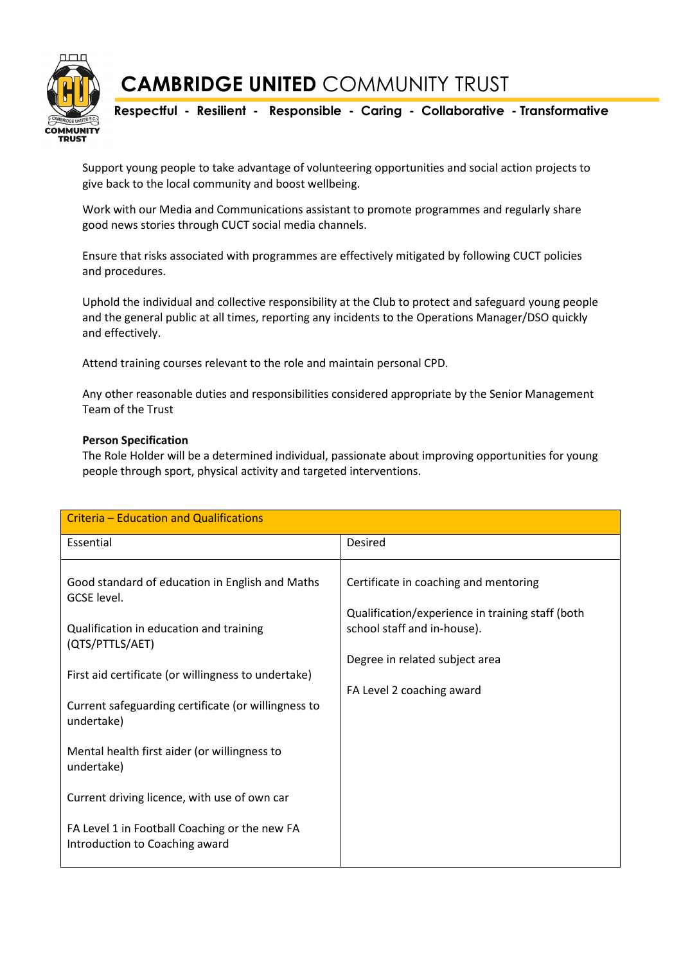

Support young people to take advantage of volunteering opportunities and social action projects to give back to the local community and boost wellbeing.

Work with our Media and Communications assistant to promote programmes and regularly share good news stories through CUCT social media channels.

Ensure that risks associated with programmes are effectively mitigated by following CUCT policies and procedures.

Uphold the individual and collective responsibility at the Club to protect and safeguard young people and the general public at all times, reporting any incidents to the Operations Manager/DSO quickly and effectively.

Attend training courses relevant to the role and maintain personal CPD.

Any other reasonable duties and responsibilities considered appropriate by the Senior Management Team of the Trust

#### **Person Specification**

The Role Holder will be a determined individual, passionate about improving opportunities for young people through sport, physical activity and targeted interventions.

| Criteria - Education and Qualifications                                                                                                                                             |                                                                                                                                                            |  |  |  |
|-------------------------------------------------------------------------------------------------------------------------------------------------------------------------------------|------------------------------------------------------------------------------------------------------------------------------------------------------------|--|--|--|
| Essential                                                                                                                                                                           | Desired                                                                                                                                                    |  |  |  |
| Good standard of education in English and Maths<br>GCSE level.<br>Qualification in education and training<br>(QTS/PTTLS/AET)<br>First aid certificate (or willingness to undertake) | Certificate in coaching and mentoring<br>Qualification/experience in training staff (both<br>school staff and in-house).<br>Degree in related subject area |  |  |  |
|                                                                                                                                                                                     | FA Level 2 coaching award                                                                                                                                  |  |  |  |
| Current safeguarding certificate (or willingness to<br>undertake)                                                                                                                   |                                                                                                                                                            |  |  |  |
| Mental health first aider (or willingness to<br>undertake)                                                                                                                          |                                                                                                                                                            |  |  |  |
| Current driving licence, with use of own car                                                                                                                                        |                                                                                                                                                            |  |  |  |
| FA Level 1 in Football Coaching or the new FA<br>Introduction to Coaching award                                                                                                     |                                                                                                                                                            |  |  |  |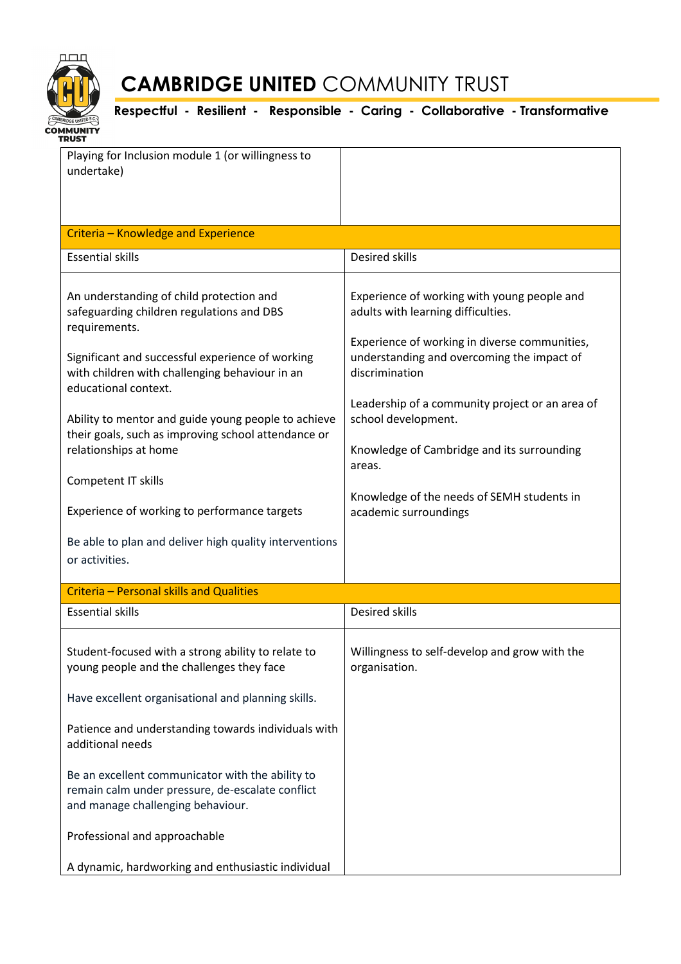

# **CAMBRIDGE UNITED** COMMUNITY TRUST

**Respectful - Resilient - Responsible - Caring - Collaborative - Transformative**

| Playing for Inclusion module 1 (or willingness to<br>undertake)                                                                           |                                                                                                                                                                                                                                                                              |  |  |  |
|-------------------------------------------------------------------------------------------------------------------------------------------|------------------------------------------------------------------------------------------------------------------------------------------------------------------------------------------------------------------------------------------------------------------------------|--|--|--|
|                                                                                                                                           |                                                                                                                                                                                                                                                                              |  |  |  |
| Criteria - Knowledge and Experience                                                                                                       |                                                                                                                                                                                                                                                                              |  |  |  |
| <b>Essential skills</b>                                                                                                                   | <b>Desired skills</b>                                                                                                                                                                                                                                                        |  |  |  |
| An understanding of child protection and<br>safeguarding children regulations and DBS<br>requirements.                                    | Experience of working with young people and<br>adults with learning difficulties.<br>Experience of working in diverse communities,<br>understanding and overcoming the impact of<br>discrimination<br>Leadership of a community project or an area of<br>school development. |  |  |  |
| Significant and successful experience of working<br>with children with challenging behaviour in an<br>educational context.                |                                                                                                                                                                                                                                                                              |  |  |  |
| Ability to mentor and guide young people to achieve<br>their goals, such as improving school attendance or                                |                                                                                                                                                                                                                                                                              |  |  |  |
| relationships at home                                                                                                                     | Knowledge of Cambridge and its surrounding<br>areas.                                                                                                                                                                                                                         |  |  |  |
| Competent IT skills                                                                                                                       | Knowledge of the needs of SEMH students in                                                                                                                                                                                                                                   |  |  |  |
| Experience of working to performance targets                                                                                              | academic surroundings                                                                                                                                                                                                                                                        |  |  |  |
| Be able to plan and deliver high quality interventions<br>or activities.                                                                  |                                                                                                                                                                                                                                                                              |  |  |  |
| Criteria - Personal skills and Qualities                                                                                                  |                                                                                                                                                                                                                                                                              |  |  |  |
| <b>Essential skills</b>                                                                                                                   | Desired skills                                                                                                                                                                                                                                                               |  |  |  |
| Student-focused with a strong ability to relate to<br>young people and the challenges they face                                           | Willingness to self-develop and grow with the<br>organisation.                                                                                                                                                                                                               |  |  |  |
| Have excellent organisational and planning skills.                                                                                        |                                                                                                                                                                                                                                                                              |  |  |  |
| Patience and understanding towards individuals with<br>additional needs                                                                   |                                                                                                                                                                                                                                                                              |  |  |  |
| Be an excellent communicator with the ability to<br>remain calm under pressure, de-escalate conflict<br>and manage challenging behaviour. |                                                                                                                                                                                                                                                                              |  |  |  |
| Professional and approachable                                                                                                             |                                                                                                                                                                                                                                                                              |  |  |  |
| A dynamic, hardworking and enthusiastic individual                                                                                        |                                                                                                                                                                                                                                                                              |  |  |  |